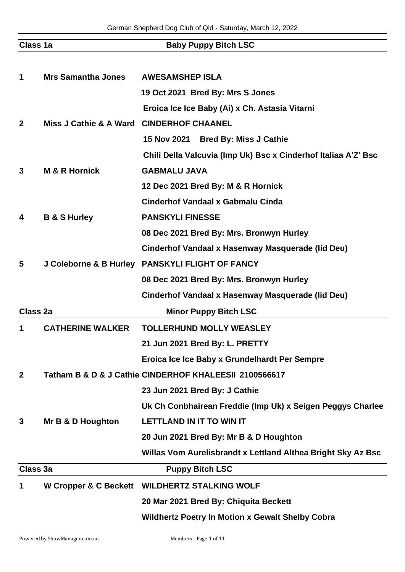| Class 1a        |                                          | <b>Baby Puppy Bitch LSC</b>                                    |
|-----------------|------------------------------------------|----------------------------------------------------------------|
|                 |                                          |                                                                |
| 1               | <b>Mrs Samantha Jones</b>                | <b>AWESAMSHEP ISLA</b>                                         |
|                 |                                          | 19 Oct 2021 Bred By: Mrs S Jones                               |
|                 |                                          | Eroica Ice Ice Baby (Ai) x Ch. Astasia Vitarni                 |
| $\mathbf{2}$    | Miss J Cathie & A Ward CINDERHOF CHAANEL |                                                                |
|                 |                                          | 15 Nov 2021 Bred By: Miss J Cathie                             |
|                 |                                          | Chili Della Valcuvia (Imp Uk) Bsc x Cinderhof Italiaa A'Z' Bsc |
| 3               | <b>M &amp; R Hornick</b>                 | <b>GABMALU JAVA</b>                                            |
|                 |                                          | 12 Dec 2021 Bred By: M & R Hornick                             |
|                 |                                          | <b>Cinderhof Vandaal x Gabmalu Cinda</b>                       |
| 4               | <b>B &amp; S Hurley</b>                  | <b>PANSKYLI FINESSE</b>                                        |
|                 |                                          | 08 Dec 2021 Bred By: Mrs. Bronwyn Hurley                       |
|                 |                                          | Cinderhof Vandaal x Hasenway Masquerade (lid Deu)              |
| 5               |                                          | J Coleborne & B Hurley PANSKYLI FLIGHT OF FANCY                |
|                 |                                          | 08 Dec 2021 Bred By: Mrs. Bronwyn Hurley                       |
|                 |                                          | Cinderhof Vandaal x Hasenway Masquerade (lid Deu)              |
| <b>Class 2a</b> |                                          | <b>Minor Puppy Bitch LSC</b>                                   |
| 1               | <b>CATHERINE WALKER</b>                  | <b>TOLLERHUND MOLLY WEASLEY</b>                                |
|                 |                                          | 21 Jun 2021 Bred By: L. PRETTY                                 |
|                 |                                          | Eroica Ice Ice Baby x Grundelhardt Per Sempre                  |
| $\mathbf{2}$    |                                          | Tatham B & D & J Cathie CINDERHOF KHALEESII 2100566617         |
|                 |                                          | 23 Jun 2021 Bred By: J Cathie                                  |
|                 |                                          | Uk Ch Conbhairean Freddie (Imp Uk) x Seigen Peggys Charlee     |
| 3               | Mr B & D Houghton                        | <b>LETTLAND IN IT TO WIN IT</b>                                |
|                 |                                          | 20 Jun 2021 Bred By: Mr B & D Houghton                         |
|                 |                                          | Willas Vom Aurelisbrandt x Lettland Althea Bright Sky Az Bsc   |
| Class 3a        |                                          | <b>Puppy Bitch LSC</b>                                         |
| 1               | W Cropper & C Beckett                    | <b>WILDHERTZ STALKING WOLF</b>                                 |
|                 |                                          | 20 Mar 2021 Bred By: Chiquita Beckett                          |
|                 |                                          | <b>Wildhertz Poetry In Motion x Gewalt Shelby Cobra</b>        |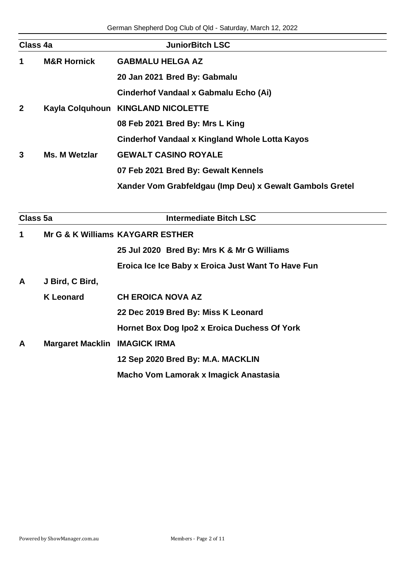| Class 4a       |                        | <b>JuniorBitch LSC</b>                                   |
|----------------|------------------------|----------------------------------------------------------|
| 1              | <b>M&amp;R Hornick</b> | <b>GABMALU HELGA AZ</b>                                  |
|                |                        | 20 Jan 2021 Bred By: Gabmalu                             |
|                |                        | Cinderhof Vandaal x Gabmalu Echo (Ai)                    |
| $\overline{2}$ |                        | Kayla Colquhoun KINGLAND NICOLETTE                       |
|                |                        | 08 Feb 2021 Bred By: Mrs L King                          |
|                |                        | Cinderhof Vandaal x Kingland Whole Lotta Kayos           |
| 3              | <b>Ms. M Wetzlar</b>   | <b>GEWALT CASINO ROYALE</b>                              |
|                |                        | 07 Feb 2021 Bred By: Gewalt Kennels                      |
|                |                        | Xander Vom Grabfeldgau (Imp Deu) x Gewalt Gambols Gretel |
|                |                        |                                                          |

| Class 5a     |                                      | <b>Intermediate Bitch LSC</b>                      |
|--------------|--------------------------------------|----------------------------------------------------|
| 1            | Mr G & K Williams KAYGARR ESTHER     |                                                    |
|              |                                      | 25 Jul 2020 Bred By: Mrs K & Mr G Williams         |
|              |                                      | Eroica Ice Ice Baby x Eroica Just Want To Have Fun |
| A            | J Bird, C Bird,                      |                                                    |
|              | <b>K</b> Leonard                     | <b>CH EROICA NOVA AZ</b>                           |
|              |                                      | 22 Dec 2019 Bred By: Miss K Leonard                |
|              |                                      | Hornet Box Dog Ipo2 x Eroica Duchess Of York       |
| $\mathbf{A}$ | <b>Margaret Macklin IMAGICK IRMA</b> |                                                    |
|              |                                      | 12 Sep 2020 Bred By: M.A. MACKLIN                  |
|              |                                      | Macho Vom Lamorak x Imagick Anastasia              |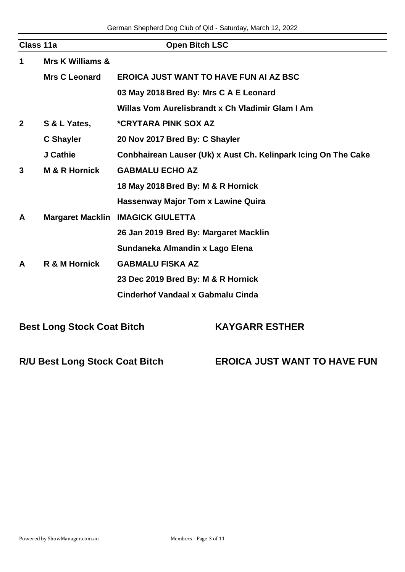| Class 11a      |                             | <b>Open Bitch LSC</b>                                          |
|----------------|-----------------------------|----------------------------------------------------------------|
| 1              | <b>Mrs K Williams &amp;</b> |                                                                |
|                | <b>Mrs C Leonard</b>        | <b>EROICA JUST WANT TO HAVE FUN AI AZ BSC</b>                  |
|                |                             | 03 May 2018 Bred By: Mrs C A E Leonard                         |
|                |                             | Willas Vom Aurelisbrandt x Ch Vladimir Glam I Am               |
| $\overline{2}$ | S & L Yates,                | <i><b>*CRYTARA PINK SOX AZ</b></i>                             |
|                | <b>C</b> Shayler            | 20 Nov 2017 Bred By: C Shayler                                 |
|                | J Cathie                    | Conbhairean Lauser (Uk) x Aust Ch. Kelinpark Icing On The Cake |
| 3              | <b>M &amp; R Hornick</b>    | <b>GABMALU ECHO AZ</b>                                         |
|                |                             | 18 May 2018 Bred By: M & R Hornick                             |
|                |                             | <b>Hassenway Major Tom x Lawine Quira</b>                      |
| A              | <b>Margaret Macklin</b>     | <b>IMAGICK GIULETTA</b>                                        |
|                |                             | 26 Jan 2019 Bred By: Margaret Macklin                          |
|                |                             | Sundaneka Almandin x Lago Elena                                |
| A              | R & M Hornick               | <b>GABMALU FISKA AZ</b>                                        |
|                |                             | 23 Dec 2019 Bred By: M & R Hornick                             |
|                |                             | <b>Cinderhof Vandaal x Gabmalu Cinda</b>                       |

**Best Long Stock Coat Bitch KAYGARR ESTHER** 

**R/U Best Long Stock Coat Bitch EROICA JUST WANT TO HAVE FUN**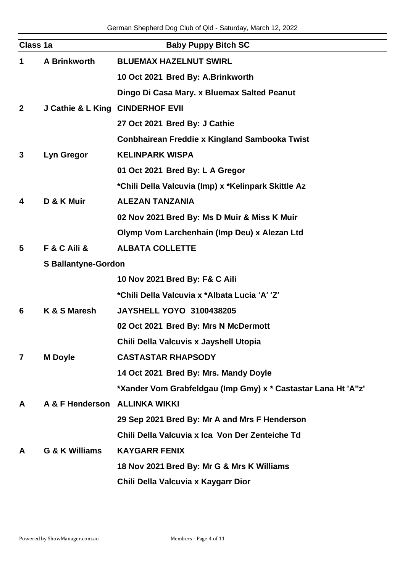| Class 1a                |                                  | <b>Baby Puppy Bitch SC</b>                                    |
|-------------------------|----------------------------------|---------------------------------------------------------------|
| $\mathbf 1$             | <b>A Brinkworth</b>              | <b>BLUEMAX HAZELNUT SWIRL</b>                                 |
|                         |                                  | 10 Oct 2021 Bred By: A.Brinkworth                             |
|                         |                                  | Dingo Di Casa Mary. x Bluemax Salted Peanut                   |
| 2 <sup>1</sup>          | J Cathie & L King CINDERHOF EVII |                                                               |
|                         |                                  | 27 Oct 2021 Bred By: J Cathie                                 |
|                         |                                  | Conbhairean Freddie x Kingland Sambooka Twist                 |
| 3                       | Lyn Gregor                       | <b>KELINPARK WISPA</b>                                        |
|                         |                                  | 01 Oct 2021 Bred By: L A Gregor                               |
|                         |                                  | *Chili Della Valcuvia (Imp) x *Kelinpark Skittle Az           |
| 4                       | D & K Muir                       | <b>ALEZAN TANZANIA</b>                                        |
|                         |                                  | 02 Nov 2021 Bred By: Ms D Muir & Miss K Muir                  |
|                         |                                  | Olymp Vom Larchenhain (Imp Deu) x Alezan Ltd                  |
| 5                       | <b>F &amp; C Aili &amp;</b>      | <b>ALBATA COLLETTE</b>                                        |
|                         | <b>S Ballantyne-Gordon</b>       |                                                               |
|                         |                                  | 10 Nov 2021 Bred By: F& C Aili                                |
|                         |                                  | *Chili Della Valcuvia x *Albata Lucia 'A' 'Z'                 |
| 6                       | K & S Maresh                     | <b>JAYSHELL YOYO 3100438205</b>                               |
|                         |                                  | 02 Oct 2021 Bred By: Mrs N McDermott                          |
|                         |                                  | Chili Della Valcuvis x Jayshell Utopia                        |
| $\overline{\mathbf{r}}$ | <b>M</b> Doyle                   | <b>CASTASTAR RHAPSODY</b>                                     |
|                         |                                  | 14 Oct 2021 Bred By: Mrs. Mandy Doyle                         |
|                         |                                  | *Xander Vom Grabfeldgau (Imp Gmy) x * Castastar Lana Ht 'A"z' |
| A                       | A & F Henderson                  | <b>ALLINKA WIKKI</b>                                          |
|                         |                                  | 29 Sep 2021 Bred By: Mr A and Mrs F Henderson                 |
|                         |                                  | Chili Della Valcuvia x Ica Von Der Zenteiche Td               |
| A                       | G & K Williams                   | <b>KAYGARR FENIX</b>                                          |
|                         |                                  | 18 Nov 2021 Bred By: Mr G & Mrs K Williams                    |
|                         |                                  | Chili Della Valcuvia x Kaygarr Dior                           |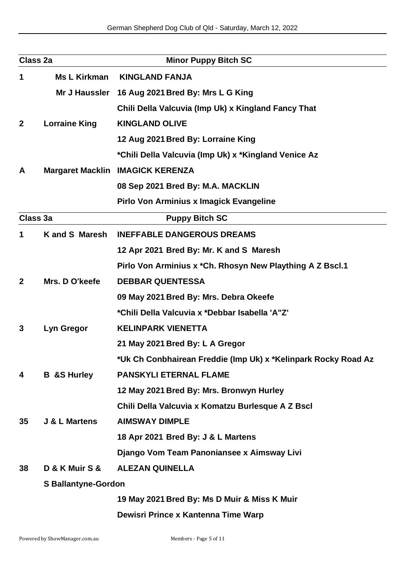| Class 2a        |                            | <b>Minor Puppy Bitch SC</b>                                    |  |
|-----------------|----------------------------|----------------------------------------------------------------|--|
| 1               | Ms L Kirkman               | <b>KINGLAND FANJA</b>                                          |  |
|                 | Mr J Haussler              | 16 Aug 2021 Bred By: Mrs L G King                              |  |
|                 |                            | Chili Della Valcuvia (Imp Uk) x Kingland Fancy That            |  |
| $\mathbf{2}$    | <b>Lorraine King</b>       | <b>KINGLAND OLIVE</b>                                          |  |
|                 |                            | 12 Aug 2021 Bred By: Lorraine King                             |  |
|                 |                            | *Chili Della Valcuvia (Imp Uk) x *Kingland Venice Az           |  |
| A               |                            | <b>Margaret Macklin IMAGICK KERENZA</b>                        |  |
|                 |                            | 08 Sep 2021 Bred By: M.A. MACKLIN                              |  |
|                 |                            | <b>Pirlo Von Arminius x Imagick Evangeline</b>                 |  |
| Class 3a        |                            | <b>Puppy Bitch SC</b>                                          |  |
| 1               | <b>Kand S Maresh</b>       | <b>INEFFABLE DANGEROUS DREAMS</b>                              |  |
|                 |                            | 12 Apr 2021 Bred By: Mr. K and S Maresh                        |  |
|                 |                            | Pirlo Von Arminius x *Ch. Rhosyn New Plaything A Z Bscl.1      |  |
| $\mathbf{2}$    | Mrs. D O'keefe             | <b>DEBBAR QUENTESSA</b>                                        |  |
|                 |                            | 09 May 2021 Bred By: Mrs. Debra Okeefe                         |  |
|                 |                            | *Chili Della Valcuvia x *Debbar Isabella 'A"Z'                 |  |
| 3               | Lyn Gregor                 | <b>KELINPARK VIENETTA</b>                                      |  |
|                 |                            | 21 May 2021 Bred By: L A Gregor                                |  |
|                 |                            | *Uk Ch Conbhairean Freddie (Imp Uk) x *Kelinpark Rocky Road Az |  |
| 4               | <b>B</b> &S Hurley         | <b>PANSKYLI ETERNAL FLAME</b>                                  |  |
|                 |                            | 12 May 2021 Bred By: Mrs. Bronwyn Hurley                       |  |
|                 |                            | Chili Della Valcuvia x Komatzu Burlesque A Z Bscl              |  |
| 35 <sub>2</sub> | <b>J &amp; L Martens</b>   | <b>AIMSWAY DIMPLE</b>                                          |  |
|                 |                            | 18 Apr 2021 Bred By: J & L Martens                             |  |
|                 |                            | Django Vom Team Panoniansee x Aimsway Livi                     |  |
| 38              | D & K Muir S &             | <b>ALEZAN QUINELLA</b>                                         |  |
|                 | <b>S Ballantyne-Gordon</b> |                                                                |  |
|                 |                            | 19 May 2021 Bred By: Ms D Muir & Miss K Muir                   |  |
|                 |                            | Dewisri Prince x Kantenna Time Warp                            |  |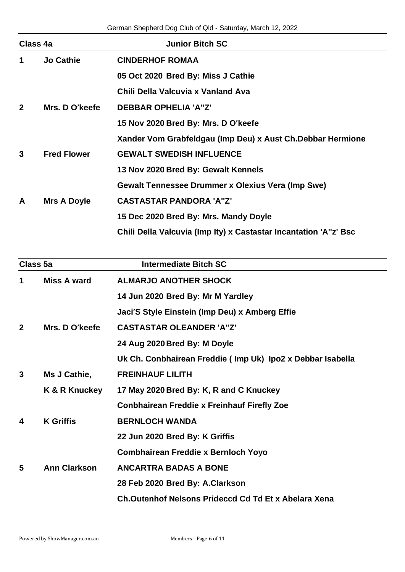| Class 4a                                        |                    | <b>Junior Bitch SC</b>                                           |
|-------------------------------------------------|--------------------|------------------------------------------------------------------|
| <b>Jo Cathie</b><br><b>CINDERHOF ROMAA</b><br>1 |                    |                                                                  |
|                                                 |                    | 05 Oct 2020 Bred By: Miss J Cathie                               |
|                                                 |                    | Chili Della Valcuvia x Vanland Ava                               |
| $\overline{2}$                                  | Mrs. D O'keefe     | <b>DEBBAR OPHELIA 'A"Z'</b>                                      |
|                                                 |                    | 15 Nov 2020 Bred By: Mrs. D O'keefe                              |
|                                                 |                    | Xander Vom Grabfeldgau (Imp Deu) x Aust Ch. Debbar Hermione      |
| 3                                               | <b>Fred Flower</b> | <b>GEWALT SWEDISH INFLUENCE</b>                                  |
|                                                 |                    | 13 Nov 2020 Bred By: Gewalt Kennels                              |
|                                                 |                    | <b>Gewalt Tennessee Drummer x Olexius Vera (Imp Swe)</b>         |
| A                                               | Mrs A Doyle        | <b>CASTASTAR PANDORA 'A"Z'</b>                                   |
|                                                 |                    | 15 Dec 2020 Bred By: Mrs. Mandy Doyle                            |
|                                                 |                    | Chili Della Valcuvia (Imp Ity) x Castastar Incantation 'A"z' Bsc |

| Class 5a     |                     | <b>Intermediate Bitch SC</b>                               |
|--------------|---------------------|------------------------------------------------------------|
| 1            | <b>Miss A ward</b>  | <b>ALMARJO ANOTHER SHOCK</b>                               |
|              |                     | 14 Jun 2020 Bred By: Mr M Yardley                          |
|              |                     | Jaci'S Style Einstein (Imp Deu) x Amberg Effie             |
| $\mathbf{2}$ | Mrs. D O'keefe      | <b>CASTASTAR OLEANDER 'A"Z'</b>                            |
|              |                     | 24 Aug 2020 Bred By: M Doyle                               |
|              |                     | Uk Ch. Conbhairean Freddie (Imp Uk) Ipo2 x Debbar Isabella |
| 3            | Ms J Cathie,        | <b>FREINHAUF LILITH</b>                                    |
|              | K & R Knuckey       | 17 May 2020 Bred By: K, R and C Knuckey                    |
|              |                     | <b>Conbhairean Freddie x Freinhauf Firefly Zoe</b>         |
| 4            | <b>K</b> Griffis    | <b>BERNLOCH WANDA</b>                                      |
|              |                     | 22 Jun 2020 Bred By: K Griffis                             |
|              |                     | <b>Combhairean Freddie x Bernloch Yoyo</b>                 |
| 5            | <b>Ann Clarkson</b> | <b>ANCARTRA BADAS A BONE</b>                               |
|              |                     | 28 Feb 2020 Bred By: A.Clarkson                            |
|              |                     | Ch.Outenhof Nelsons Prideccd Cd Td Et x Abelara Xena       |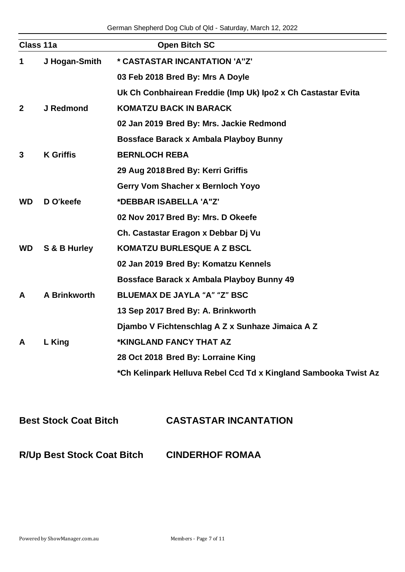|                  | <b>Open Bitch SC</b>                                            |
|------------------|-----------------------------------------------------------------|
| J Hogan-Smith    | * CASTASTAR INCANTATION 'A"Z'                                   |
|                  | 03 Feb 2018 Bred By: Mrs A Doyle                                |
|                  | Uk Ch Conbhairean Freddie (Imp Uk) Ipo2 x Ch Castastar Evita    |
| J Redmond        | <b>KOMATZU BACK IN BARACK</b>                                   |
|                  | 02 Jan 2019 Bred By: Mrs. Jackie Redmond                        |
|                  | <b>Bossface Barack x Ambala Playboy Bunny</b>                   |
| <b>K</b> Griffis | <b>BERNLOCH REBA</b>                                            |
|                  | 29 Aug 2018 Bred By: Kerri Griffis                              |
|                  | Gerry Vom Shacher x Bernloch Yoyo                               |
| D O'keefe        | *DEBBAR ISABELLA 'A"Z'                                          |
|                  | 02 Nov 2017 Bred By: Mrs. D Okeefe                              |
|                  | Ch. Castastar Eragon x Debbar Dj Vu                             |
| S & B Hurley     | <b>KOMATZU BURLESQUE A Z BSCL</b>                               |
|                  | 02 Jan 2019 Bred By: Komatzu Kennels                            |
|                  | Bossface Barack x Ambala Playboy Bunny 49                       |
| A Brinkworth     | <b>BLUEMAX DE JAYLA "A" "Z" BSC</b>                             |
|                  | 13 Sep 2017 Bred By: A. Brinkworth                              |
|                  | Djambo V Fichtenschlag A Z x Sunhaze Jimaica A Z                |
| L King           | *KINGLAND FANCY THAT AZ                                         |
|                  | 28 Oct 2018 Bred By: Lorraine King                              |
|                  | *Ch Kelinpark Helluva Rebel Ccd Td x Kingland Sambooka Twist Az |
|                  | Class 11a                                                       |

## **Best Stock Coat Bitch CASTASTAR INCANTATION**

**R/Up Best Stock Coat Bitch CINDERHOF ROMAA**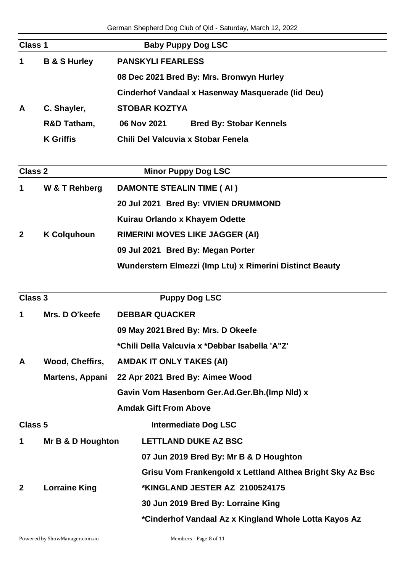| Class 1      |                         |                          | <b>Baby Puppy Dog LSC</b>                         |
|--------------|-------------------------|--------------------------|---------------------------------------------------|
| $\mathbf 1$  | <b>B &amp; S Hurley</b> | <b>PANSKYLI FEARLESS</b> |                                                   |
|              |                         |                          | 08 Dec 2021 Bred By: Mrs. Bronwyn Hurley          |
|              |                         |                          | Cinderhof Vandaal x Hasenway Masquerade (Iid Deu) |
| $\mathsf{A}$ | C. Shayler,             | <b>STOBAR KOZTYA</b>     |                                                   |
|              | R&D Tatham,             | 06 Nov 2021              | <b>Bred By: Stobar Kennels</b>                    |
|              | <b>K</b> Griffis        |                          | Chili Del Valcuvia x Stobar Fenela                |

| Class 2      |                    | <b>Minor Puppy Dog LSC</b>                               |  |
|--------------|--------------------|----------------------------------------------------------|--|
| 1            | W & T Rehberg      | <b>DAMONTE STEALIN TIME (AI)</b>                         |  |
|              |                    | 20 Jul 2021 Bred By: VIVIEN DRUMMOND                     |  |
|              |                    | Kuirau Orlando x Khayem Odette                           |  |
| $\mathbf{2}$ | <b>K Colquhoun</b> | <b>RIMERINI MOVES LIKE JAGGER (AI)</b>                   |  |
|              |                    | 09 Jul 2021 Bred By: Megan Porter                        |  |
|              |                    | Wunderstern Elmezzi (Imp Ltu) x Rimerini Distinct Beauty |  |

| <b>Class 3</b> |                        | <b>Puppy Dog LSC</b>                                      |
|----------------|------------------------|-----------------------------------------------------------|
| 1              | Mrs. D O'keefe         | <b>DEBBAR QUACKER</b>                                     |
|                |                        | 09 May 2021 Bred By: Mrs. D Okeefe                        |
|                |                        | *Chili Della Valcuvia x *Debbar Isabella 'A"Z'            |
| $\mathsf{A}$   | Wood, Cheffirs,        | <b>AMDAK IT ONLY TAKES (AI)</b>                           |
|                | <b>Martens, Appani</b> | 22 Apr 2021 Bred By: Aimee Wood                           |
|                |                        | Gavin Vom Hasenborn Ger.Ad.Ger.Bh.(Imp NId) x             |
|                |                        | <b>Amdak Gift From Above</b>                              |
| Class 5        |                        | <b>Intermediate Dog LSC</b>                               |
| 1              | Mr B & D Houghton      | <b>LETTLAND DUKE AZ BSC</b>                               |
|                |                        | 07 Jun 2019 Bred By: Mr B & D Houghton                    |
|                |                        | Grisu Vom Frankengold x Lettland Althea Bright Sky Az Bsc |
| $\mathbf{2}$   | <b>Lorraine King</b>   | *KINGLAND JESTER AZ 2100524175                            |
|                |                        | 30 Jun 2019 Bred By: Lorraine King                        |
|                |                        | *Cinderhof Vandaal Az x Kingland Whole Lotta Kayos Az     |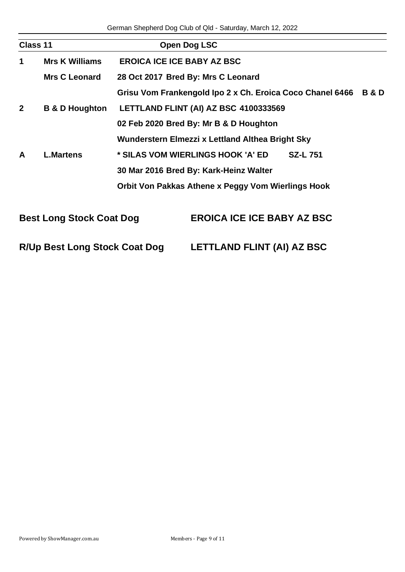| Class 11       |                                 | Open Dog LSC                                              |                |
|----------------|---------------------------------|-----------------------------------------------------------|----------------|
| 1              | <b>Mrs K Williams</b>           | <b>EROICA ICE ICE BABY AZ BSC</b>                         |                |
|                | <b>Mrs C Leonard</b>            | 28 Oct 2017 Bred By: Mrs C Leonard                        |                |
|                |                                 | Grisu Vom Frankengold Ipo 2 x Ch. Eroica Coco Chanel 6466 | <b>B&amp;D</b> |
| $\overline{2}$ | <b>B &amp; D Houghton</b>       | LETTLAND FLINT (AI) AZ BSC 4100333569                     |                |
|                |                                 | 02 Feb 2020 Bred By: Mr B & D Houghton                    |                |
|                |                                 | Wunderstern Elmezzi x Lettland Althea Bright Sky          |                |
| A              | <b>L.Martens</b>                | * SILAS VOM WIERLINGS HOOK 'A' ED<br><b>SZ-L751</b>       |                |
|                |                                 | 30 Mar 2016 Bred By: Kark-Heinz Walter                    |                |
|                |                                 | Orbit Von Pakkas Athene x Peggy Vom Wierlings Hook        |                |
|                | <b>Best Long Stock Coat Dog</b> | <b>EROICA ICE ICE BABY AZ BSC</b>                         |                |

|  | <b>R/Up Best Long Stock Coat Dog</b> | <b>LETTLAND FLINT (AI) AZ BSC</b> |  |
|--|--------------------------------------|-----------------------------------|--|
|  |                                      |                                   |  |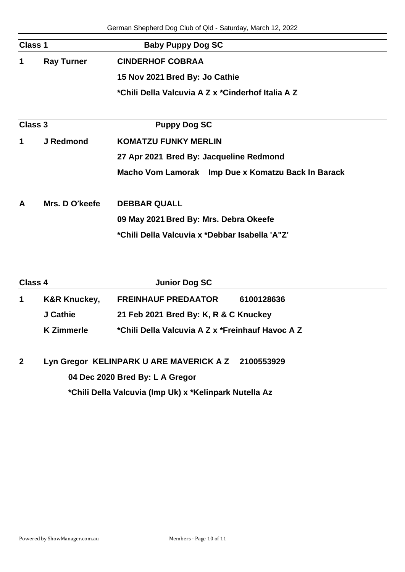| <b>Class 1</b>         |                | <b>Baby Puppy Dog SC</b>                           |
|------------------------|----------------|----------------------------------------------------|
| <b>Ray Turner</b><br>1 |                | <b>CINDERHOF COBRAA</b>                            |
|                        |                | 15 Nov 2021 Bred By: Jo Cathie                     |
|                        |                | *Chili Della Valcuvia A Z x *Cinderhof Italia A Z  |
| <b>Class 3</b>         |                | <b>Puppy Dog SC</b>                                |
| 1                      | J Redmond      | <b>KOMATZU FUNKY MERLIN</b>                        |
|                        |                | 27 Apr 2021 Bred By: Jacqueline Redmond            |
|                        |                | Macho Vom Lamorak Imp Due x Komatzu Back In Barack |
| A                      | Mrs. D O'keefe | <b>DEBBAR QUALL</b>                                |
|                        |                | 09 May 2021 Bred By: Mrs. Debra Okeefe             |
|                        |                | *Chili Della Valcuvia x *Debbar Isabella 'A"Z'     |

| Class 4 |                         | <b>Junior Dog SC</b>                             |            |
|---------|-------------------------|--------------------------------------------------|------------|
|         | <b>K&amp;R Knuckey,</b> | <b>FREINHAUF PREDAATOR</b>                       | 6100128636 |
|         | J Cathie                | 21 Feb 2021 Bred By: K, R & C Knuckey            |            |
|         | <b>K</b> Zimmerle       | *Chili Della Valcuvia A Z x *Freinhauf Havoc A Z |            |
|         |                         |                                                  |            |
|         |                         |                                                  |            |

**2 Lyn Gregor KELINPARK U ARE MAVERICK A Z 2100553929 04 Dec 2020 Bred By: L A Gregor**

**\*Chili Della Valcuvia (Imp Uk) x \*Kelinpark Nutella Az**